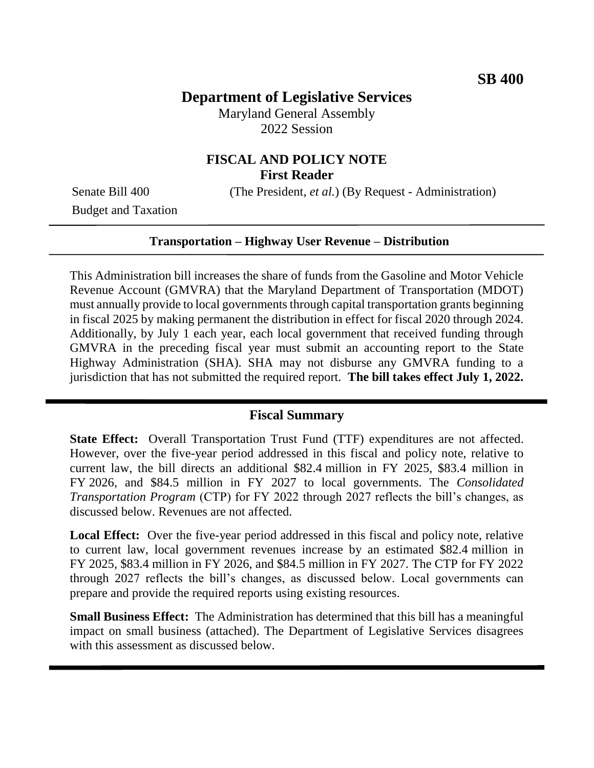# **Department of Legislative Services**

Maryland General Assembly 2022 Session

### **FISCAL AND POLICY NOTE First Reader**

Senate Bill 400 (The President, *et al.*) (By Request - Administration)

Budget and Taxation

#### **Transportation – Highway User Revenue – Distribution**

This Administration bill increases the share of funds from the Gasoline and Motor Vehicle Revenue Account (GMVRA) that the Maryland Department of Transportation (MDOT) must annually provide to local governments through capital transportation grants beginning in fiscal 2025 by making permanent the distribution in effect for fiscal 2020 through 2024. Additionally, by July 1 each year, each local government that received funding through GMVRA in the preceding fiscal year must submit an accounting report to the State Highway Administration (SHA). SHA may not disburse any GMVRA funding to a jurisdiction that has not submitted the required report. **The bill takes effect July 1, 2022.** 

### **Fiscal Summary**

**State Effect:** Overall Transportation Trust Fund (TTF) expenditures are not affected. However, over the five-year period addressed in this fiscal and policy note, relative to current law, the bill directs an additional \$82.4 million in FY 2025, \$83.4 million in FY 2026, and \$84.5 million in FY 2027 to local governments. The *Consolidated Transportation Program* (CTP) for FY 2022 through 2027 reflects the bill's changes, as discussed below. Revenues are not affected.

**Local Effect:** Over the five-year period addressed in this fiscal and policy note, relative to current law, local government revenues increase by an estimated \$82.4 million in FY 2025, \$83.4 million in FY 2026, and \$84.5 million in FY 2027. The CTP for FY 2022 through 2027 reflects the bill's changes, as discussed below. Local governments can prepare and provide the required reports using existing resources.

**Small Business Effect:** The Administration has determined that this bill has a meaningful impact on small business (attached). The Department of Legislative Services disagrees with this assessment as discussed below.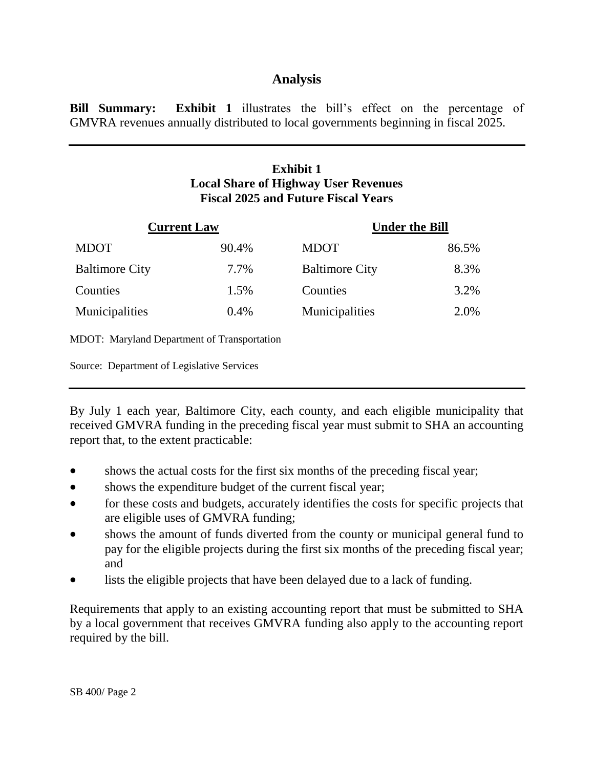# **Analysis**

**Bill Summary:** Exhibit 1 illustrates the bill's effect on the percentage of GMVRA revenues annually distributed to local governments beginning in fiscal 2025.

# **Exhibit 1 Local Share of Highway User Revenues Fiscal 2025 and Future Fiscal Years**

|                                                    | <b>Current Law</b> | <b>Under the Bill</b> |       |  |  |  |
|----------------------------------------------------|--------------------|-----------------------|-------|--|--|--|
| <b>MDOT</b>                                        | 90.4%              | <b>MDOT</b>           | 86.5% |  |  |  |
| <b>Baltimore City</b>                              | 7.7%               | <b>Baltimore City</b> | 8.3%  |  |  |  |
| Counties                                           | 1.5%               | Counties              | 3.2%  |  |  |  |
| Municipalities                                     | 0.4%               | Municipalities        | 2.0%  |  |  |  |
| <b>MDOT:</b> Maryland Department of Transportation |                    |                       |       |  |  |  |

Source: Department of Legislative Services

By July 1 each year, Baltimore City, each county, and each eligible municipality that received GMVRA funding in the preceding fiscal year must submit to SHA an accounting report that, to the extent practicable:

- shows the actual costs for the first six months of the preceding fiscal year;
- shows the expenditure budget of the current fiscal year;
- for these costs and budgets, accurately identifies the costs for specific projects that are eligible uses of GMVRA funding;
- shows the amount of funds diverted from the county or municipal general fund to pay for the eligible projects during the first six months of the preceding fiscal year; and
- lists the eligible projects that have been delayed due to a lack of funding.

Requirements that apply to an existing accounting report that must be submitted to SHA by a local government that receives GMVRA funding also apply to the accounting report required by the bill.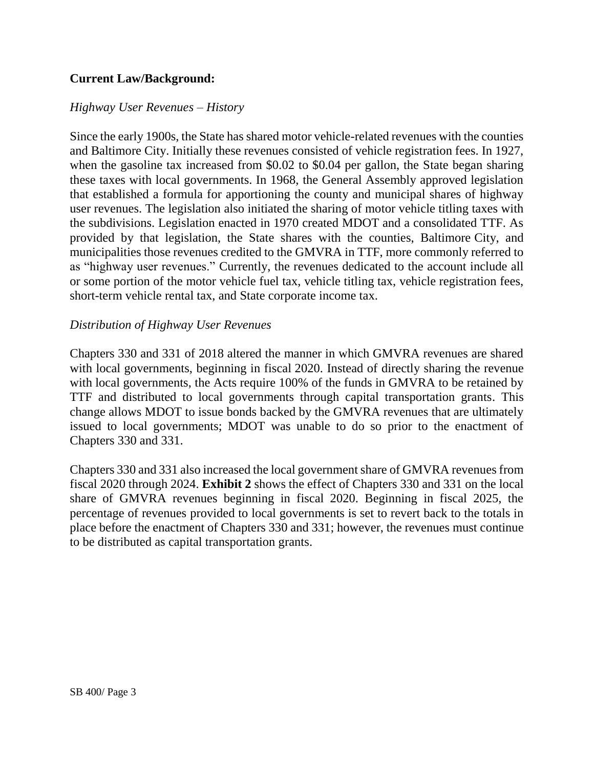### **Current Law/Background:**

### *Highway User Revenues – History*

Since the early 1900s, the State has shared motor vehicle-related revenues with the counties and Baltimore City. Initially these revenues consisted of vehicle registration fees. In 1927, when the gasoline tax increased from \$0.02 to \$0.04 per gallon, the State began sharing these taxes with local governments. In 1968, the General Assembly approved legislation that established a formula for apportioning the county and municipal shares of highway user revenues. The legislation also initiated the sharing of motor vehicle titling taxes with the subdivisions. Legislation enacted in 1970 created MDOT and a consolidated TTF. As provided by that legislation, the State shares with the counties, Baltimore City, and municipalities those revenues credited to the GMVRA in TTF, more commonly referred to as "highway user revenues." Currently, the revenues dedicated to the account include all or some portion of the motor vehicle fuel tax, vehicle titling tax, vehicle registration fees, short-term vehicle rental tax, and State corporate income tax.

### *Distribution of Highway User Revenues*

Chapters 330 and 331 of 2018 altered the manner in which GMVRA revenues are shared with local governments, beginning in fiscal 2020. Instead of directly sharing the revenue with local governments, the Acts require 100% of the funds in GMVRA to be retained by TTF and distributed to local governments through capital transportation grants. This change allows MDOT to issue bonds backed by the GMVRA revenues that are ultimately issued to local governments; MDOT was unable to do so prior to the enactment of Chapters 330 and 331.

Chapters 330 and 331 also increased the local government share of GMVRA revenues from fiscal 2020 through 2024. **Exhibit 2** shows the effect of Chapters 330 and 331 on the local share of GMVRA revenues beginning in fiscal 2020. Beginning in fiscal 2025, the percentage of revenues provided to local governments is set to revert back to the totals in place before the enactment of Chapters 330 and 331; however, the revenues must continue to be distributed as capital transportation grants.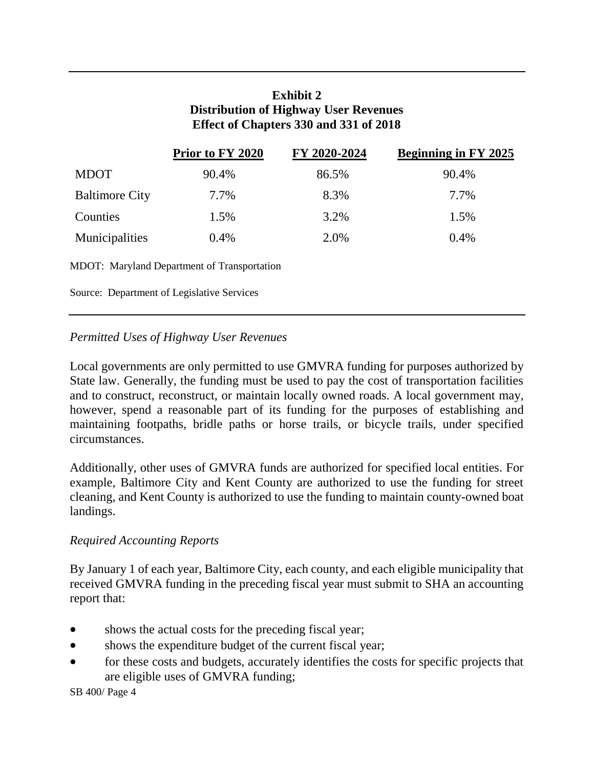# **Exhibit 2 Distribution of Highway User Revenues Effect of Chapters 330 and 331 of 2018**

|                                            | Prior to FY 2020                                   | FY 2020-2024 | <b>Beginning in FY 2025</b> |  |  |  |
|--------------------------------------------|----------------------------------------------------|--------------|-----------------------------|--|--|--|
| <b>MDOT</b>                                | 90.4%                                              | 86.5%        | 90.4%                       |  |  |  |
| <b>Baltimore City</b>                      | 7.7%                                               | 8.3%         | 7.7%                        |  |  |  |
| Counties                                   | 1.5%                                               | 3.2%         | 1.5%                        |  |  |  |
| Municipalities                             | $0.4\%$                                            | 2.0%         | 0.4%                        |  |  |  |
|                                            | <b>MDOT:</b> Maryland Department of Transportation |              |                             |  |  |  |
| Source: Department of Legislative Services |                                                    |              |                             |  |  |  |

### *Permitted Uses of Highway User Revenues*

Local governments are only permitted to use GMVRA funding for purposes authorized by State law. Generally, the funding must be used to pay the cost of transportation facilities and to construct, reconstruct, or maintain locally owned roads. A local government may, however, spend a reasonable part of its funding for the purposes of establishing and maintaining footpaths, bridle paths or horse trails, or bicycle trails, under specified circumstances.

Additionally, other uses of GMVRA funds are authorized for specified local entities. For example, Baltimore City and Kent County are authorized to use the funding for street cleaning, and Kent County is authorized to use the funding to maintain county-owned boat landings.

### *Required Accounting Reports*

By January 1 of each year, Baltimore City, each county, and each eligible municipality that received GMVRA funding in the preceding fiscal year must submit to SHA an accounting report that:

- shows the actual costs for the preceding fiscal year;
- shows the expenditure budget of the current fiscal year;
- for these costs and budgets, accurately identifies the costs for specific projects that are eligible uses of GMVRA funding;

SB 400/ Page 4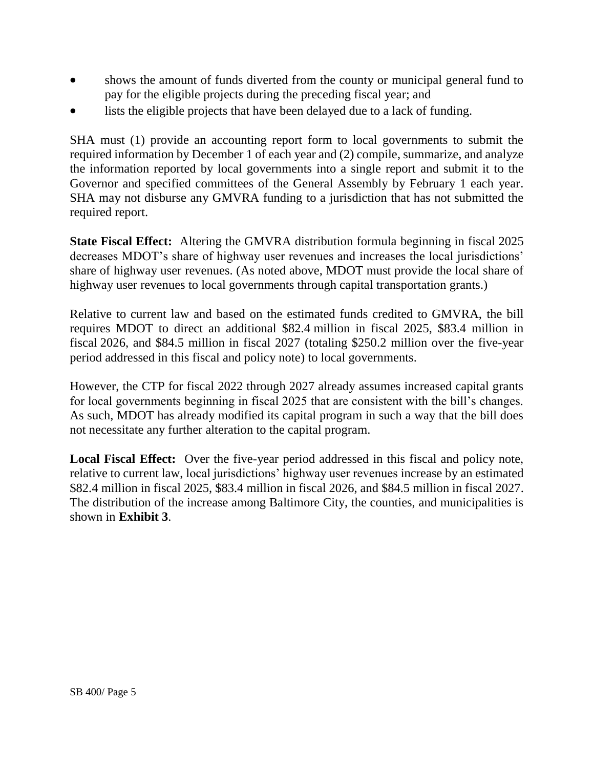- shows the amount of funds diverted from the county or municipal general fund to pay for the eligible projects during the preceding fiscal year; and
- lists the eligible projects that have been delayed due to a lack of funding.

SHA must (1) provide an accounting report form to local governments to submit the required information by December 1 of each year and (2) compile, summarize, and analyze the information reported by local governments into a single report and submit it to the Governor and specified committees of the General Assembly by February 1 each year. SHA may not disburse any GMVRA funding to a jurisdiction that has not submitted the required report.

**State Fiscal Effect:** Altering the GMVRA distribution formula beginning in fiscal 2025 decreases MDOT's share of highway user revenues and increases the local jurisdictions' share of highway user revenues. (As noted above, MDOT must provide the local share of highway user revenues to local governments through capital transportation grants.)

Relative to current law and based on the estimated funds credited to GMVRA, the bill requires MDOT to direct an additional \$82.4 million in fiscal 2025, \$83.4 million in fiscal 2026, and \$84.5 million in fiscal 2027 (totaling \$250.2 million over the five-year period addressed in this fiscal and policy note) to local governments.

However, the CTP for fiscal 2022 through 2027 already assumes increased capital grants for local governments beginning in fiscal 2025 that are consistent with the bill's changes. As such, MDOT has already modified its capital program in such a way that the bill does not necessitate any further alteration to the capital program.

**Local Fiscal Effect:** Over the five-year period addressed in this fiscal and policy note, relative to current law, local jurisdictions' highway user revenues increase by an estimated \$82.4 million in fiscal 2025, \$83.4 million in fiscal 2026, and \$84.5 million in fiscal 2027. The distribution of the increase among Baltimore City, the counties, and municipalities is shown in **Exhibit 3**.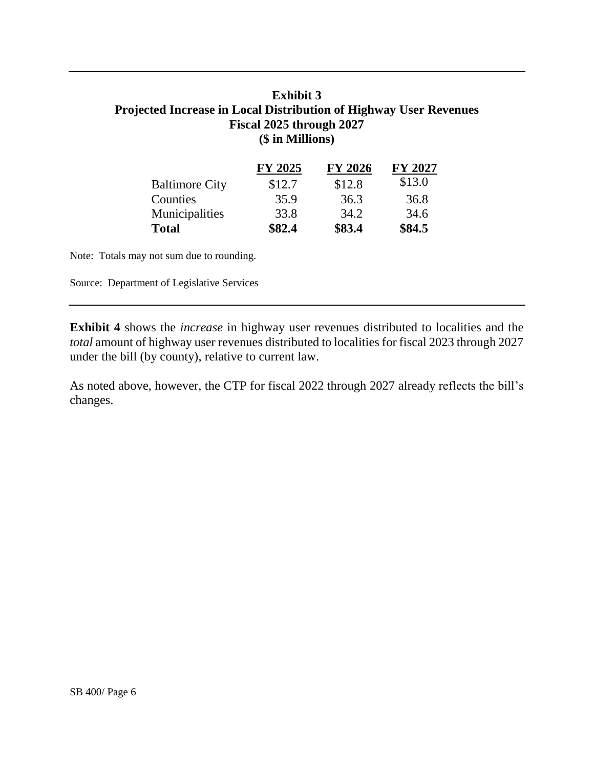# **Exhibit 3 Projected Increase in Local Distribution of Highway User Revenues Fiscal 2025 through 2027 (\$ in Millions)**

|                       | FY 2025 | <b>FY 2026</b> | <b>FY 2027</b> |
|-----------------------|---------|----------------|----------------|
| <b>Baltimore City</b> | \$12.7  | \$12.8         | \$13.0         |
| Counties              | 35.9    | 36.3           | 36.8           |
| Municipalities        | 33.8    | 34.2           | 34.6           |
| <b>Total</b>          | \$82.4  | \$83.4         | \$84.5         |

Note: Totals may not sum due to rounding.

Source: Department of Legislative Services

**Exhibit 4** shows the *increase* in highway user revenues distributed to localities and the *total* amount of highway user revenues distributed to localities for fiscal 2023 through 2027 under the bill (by county), relative to current law.

As noted above, however, the CTP for fiscal 2022 through 2027 already reflects the bill's changes.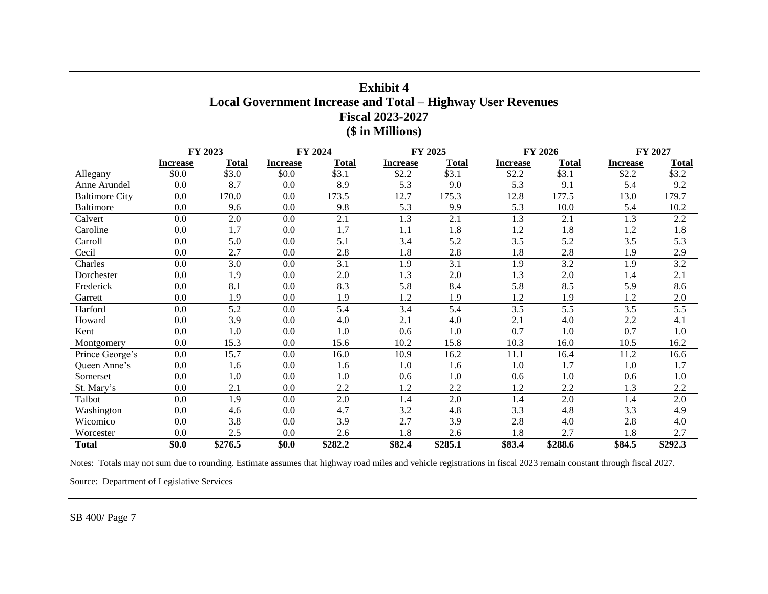# **Exhibit 4 Local Government Increase and Total – Highway User Revenues Fiscal 2023-2027 (\$ in Millions)**

|                       | FY 2023         |              | FY 2024         |              | FY 2025         |              | FY 2026         |              | FY 2027         |              |
|-----------------------|-----------------|--------------|-----------------|--------------|-----------------|--------------|-----------------|--------------|-----------------|--------------|
|                       | <b>Increase</b> | <u>Total</u> | <b>Increase</b> | <u>Total</u> | <b>Increase</b> | <b>Total</b> | <b>Increase</b> | <u>Total</u> | <b>Increase</b> | <u>Total</u> |
| Allegany              | \$0.0           | \$3.0        | \$0.0           | \$3.1        | \$2.2           | \$3.1        | \$2.2           | \$3.1        | \$2.2           | \$3.2        |
| Anne Arundel          | 0.0             | 8.7          | 0.0             | 8.9          | 5.3             | 9.0          | 5.3             | 9.1          | 5.4             | 9.2          |
| <b>Baltimore City</b> | 0.0             | 170.0        | 0.0             | 173.5        | 12.7            | 175.3        | 12.8            | 177.5        | 13.0            | 179.7        |
| Baltimore             | 0.0             | 9.6          | 0.0             | 9.8          | 5.3             | 9.9          | 5.3             | 10.0         | 5.4             | 10.2         |
| Calvert               | 0.0             | 2.0          | $0.0\,$         | 2.1          | 1.3             | 2.1          | 1.3             | 2.1          | 1.3             | 2.2          |
| Caroline              | 0.0             | 1.7          | 0.0             | 1.7          | 1.1             | 1.8          | 1.2             | 1.8          | 1.2             | 1.8          |
| Carroll               | 0.0             | 5.0          | 0.0             | 5.1          | 3.4             | 5.2          | 3.5             | 5.2          | 3.5             | 5.3          |
| Cecil                 | 0.0             | 2.7          | 0.0             | 2.8          | 1.8             | 2.8          | 1.8             | 2.8          | 1.9             | 2.9          |
| Charles               | 0.0             | 3.0          | 0.0             | 3.1          | 1.9             | 3.1          | 1.9             | 3.2          | 1.9             | 3.2          |
| Dorchester            | 0.0             | 1.9          | 0.0             | 2.0          | 1.3             | 2.0          | 1.3             | 2.0          | 1.4             | 2.1          |
| Frederick             | 0.0             | 8.1          | 0.0             | 8.3          | 5.8             | 8.4          | 5.8             | 8.5          | 5.9             | 8.6          |
| Garrett               | 0.0             | 1.9          | 0.0             | 1.9          | 1.2             | 1.9          | 1.2             | 1.9          | 1.2             | 2.0          |
| Harford               | 0.0             | 5.2          | $0.0\,$         | 5.4          | 3.4             | 5.4          | 3.5             | 5.5          | 3.5             | 5.5          |
| Howard                | 0.0             | 3.9          | 0.0             | 4.0          | 2.1             | $4.0\,$      | 2.1             | 4.0          | 2.2             | 4.1          |
| Kent                  | 0.0             | 1.0          | 0.0             | 1.0          | 0.6             | 1.0          | 0.7             | 1.0          | 0.7             | 1.0          |
| Montgomery            | 0.0             | 15.3         | 0.0             | 15.6         | 10.2            | 15.8         | 10.3            | 16.0         | 10.5            | 16.2         |
| Prince George's       | 0.0             | 15.7         | 0.0             | 16.0         | 10.9            | 16.2         | 11.1            | 16.4         | 11.2            | 16.6         |
| Queen Anne's          | 0.0             | 1.6          | 0.0             | 1.6          | 1.0             | 1.6          | 1.0             | 1.7          | 1.0             | 1.7          |
| Somerset              | 0.0             | 1.0          | 0.0             | 1.0          | 0.6             | $1.0\,$      | 0.6             | 1.0          | 0.6             | 1.0          |
| St. Mary's            | 0.0             | 2.1          | 0.0             | 2.2          | 1.2             | 2.2          | 1.2             | 2.2          | 1.3             | 2.2          |
| Talbot                | 0.0             | 1.9          | 0.0             | 2.0          | 1.4             | 2.0          | 1.4             | 2.0          | 1.4             | 2.0          |
| Washington            | 0.0             | 4.6          | 0.0             | 4.7          | 3.2             | 4.8          | 3.3             | 4.8          | 3.3             | 4.9          |
| Wicomico              | 0.0             | 3.8          | 0.0             | 3.9          | 2.7             | 3.9          | 2.8             | 4.0          | 2.8             | 4.0          |
| Worcester             | 0.0             | 2.5          | 0.0             | 2.6          | 1.8             | 2.6          | 1.8             | 2.7          | 1.8             | 2.7          |
| <b>Total</b>          | \$0.0           | \$276.5      | \$0.0           | \$282.2      | \$82.4          | \$285.1      | \$83.4          | \$288.6      | \$84.5          | \$292.3      |

Notes: Totals may not sum due to rounding. Estimate assumes that highway road miles and vehicle registrations in fiscal 2023 remain constant through fiscal 2027. Source: Department of Legislative Services

SB 400/ Page 7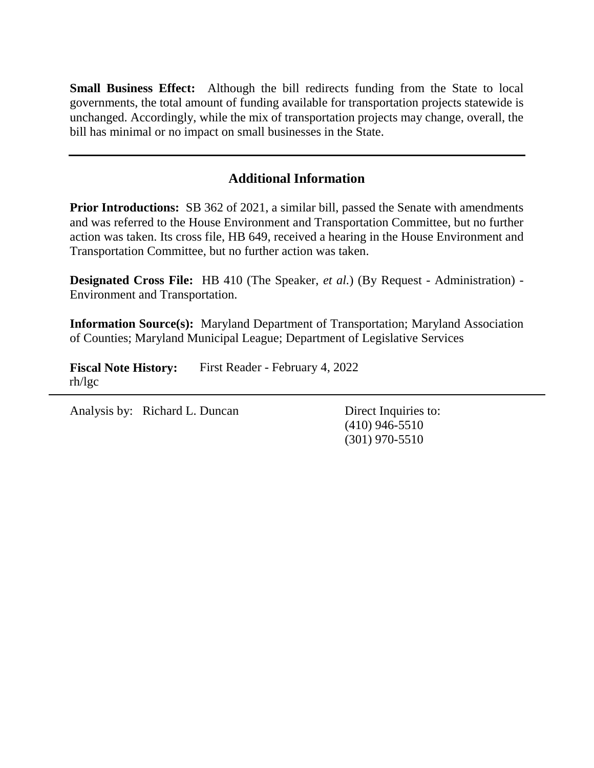**Small Business Effect:** Although the bill redirects funding from the State to local governments, the total amount of funding available for transportation projects statewide is unchanged. Accordingly, while the mix of transportation projects may change, overall, the bill has minimal or no impact on small businesses in the State.

### **Additional Information**

**Prior Introductions:** SB 362 of 2021, a similar bill, passed the Senate with amendments and was referred to the House Environment and Transportation Committee, but no further action was taken. Its cross file, HB 649, received a hearing in the House Environment and Transportation Committee, but no further action was taken.

**Designated Cross File:** HB 410 (The Speaker, *et al.*) (By Request - Administration) - Environment and Transportation.

**Information Source(s):** Maryland Department of Transportation; Maryland Association of Counties; Maryland Municipal League; Department of Legislative Services

**Fiscal Note History:** First Reader - February 4, 2022 rh/lgc

Analysis by: Richard L. Duncan Direct Inquiries to:

(410) 946-5510 (301) 970-5510